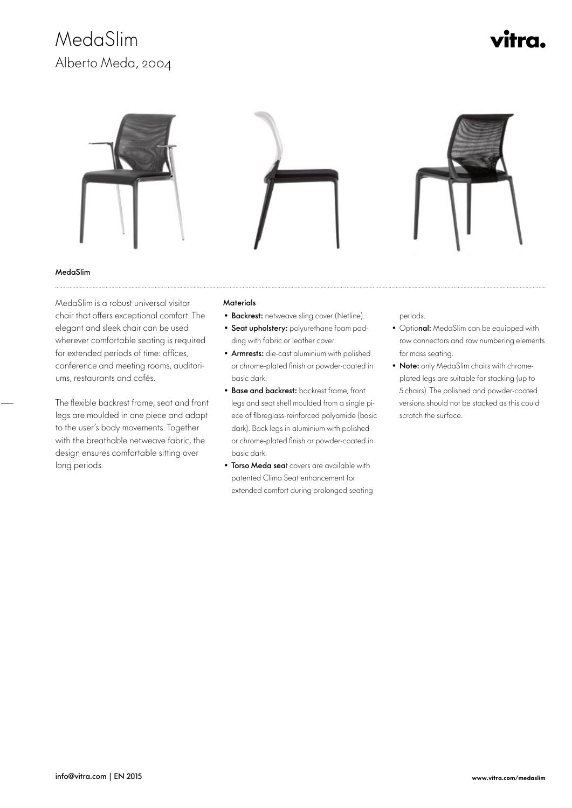# MedaSlim Alberto Meda, 2004

# itra.



#### MedaSlim

 MedaSlim is a robust universal visitor chair that offers exceptional comfort. The elegant and sleek chair can be used wherever comfortable seating is required for extended periods of time: offices, conference and meeting rooms, auditoriums, restaurants and cafés.

The flexible backrest frame, seat and front legs are moulded in one piece and adapt to the user's body movements. Together with the breathable netweave fabric, the design ensures comfortable sitting over long periods.

### **Materials**

- Backrest: netweave sling cover (Netline).
- Seat upholstery: polyurethane foam padding with fabric or leather cover.
- Armrests: die-cast aluminium with polished or chrome-plated finish or powder-coated in basic dark.
- Base and backrest: backrest frame, front legs and seat shell moulded from a single piece of fibreglass-reinforced polyamide (basic dark). Back legs in aluminium with polished or chrome-plated finish or powder-coated in basic dark.
- Torso Meda seat covers are available with patented Clima Seat enhancement for extended comfort during prolonged seating

periods.

- Optional: MedaSlim can be equipped with row connectors and row numbering elements for mass seating.
- Note: only MedaSlim chairs with chromeplated legs are suitable for stacking (up to 5 chairs). The polished and powder-coated versions should not be stacked as this could scratch the surface.